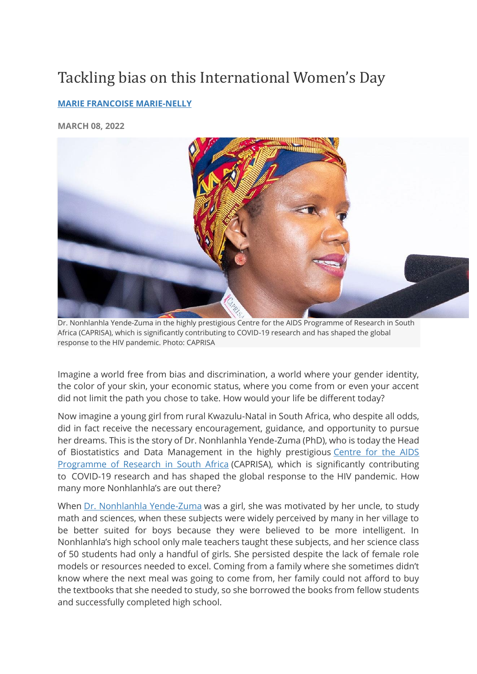## Tackling bias on this International Women's Day

## **[MARIE FRANCOISE MARIE-NELLY](https://blogs.worldbank.org/team/marie-francoise-marie-nelly)**

**MARCH 08, 2022**



Dr. Nonhlanhla Yende-Zuma in the highly prestigious Centre for the AIDS Programme of Research in South Africa (CAPRISA), which is significantly contributing to COVID-19 research and has shaped the global response to the HIV pandemic. Photo: CAPRISA

Imagine a world free from bias and discrimination, a world where your gender identity, the color of your skin, your economic status, where you come from or even your accent did not limit the path you chose to take. How would your life be different today?

Now imagine a young girl from rural Kwazulu-Natal in South Africa, who despite all odds, did in fact receive the necessary encouragement, guidance, and opportunity to pursue her dreams. This is the story of Dr. Nonhlanhla Yende-Zuma (PhD), who is today the Head of Biostatistics and Data Management in the highly prestigious [Centre for the AIDS](https://www.caprisa.org/)  [Programme of Research in South Africa](https://www.caprisa.org/) (CAPRISA), which is significantly contributing to COVID-19 research and has shaped the global response to the HIV pandemic. How many more Nonhlanhla's are out there?

When [Dr. Nonhlanhla Yende-Zuma](https://www.linkedin.com/in/nonhlanhla-yende-zuma-ba4808b/?originalSubdomain=za) was a girl, she was motivated by her uncle, to study math and sciences, when these subjects were widely perceived by many in her village to be better suited for boys because they were believed to be more intelligent. In Nonhlanhla's high school only male teachers taught these subjects, and her science class of 50 students had only a handful of girls. She persisted despite the lack of female role models or resources needed to excel. Coming from a family where she sometimes didn't know where the next meal was going to come from, her family could not afford to buy the textbooks that she needed to study, so she borrowed the books from fellow students and successfully completed high school.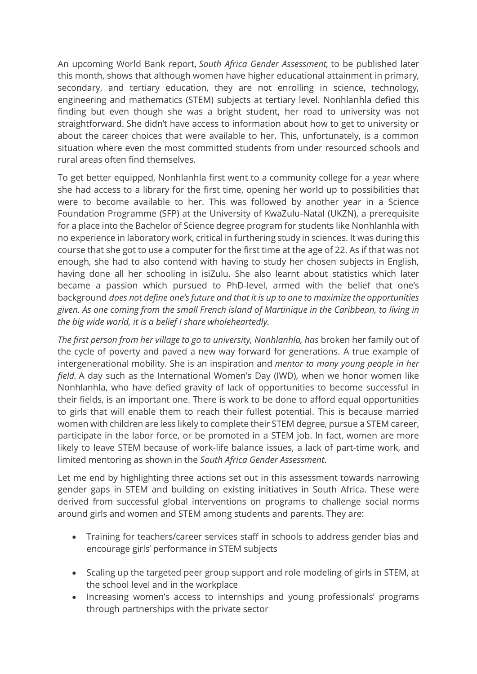An upcoming World Bank report, *South Africa Gender Assessment,* to be published later this month, shows that although women have higher educational attainment in primary, secondary, and tertiary education, they are not enrolling in science, technology, engineering and mathematics (STEM) subjects at tertiary level. Nonhlanhla defied this finding but even though she was a bright student, her road to university was not straightforward. She didn't have access to information about how to get to university or about the career choices that were available to her. This, unfortunately, is a common situation where even the most committed students from under resourced schools and rural areas often find themselves.

To get better equipped, Nonhlanhla first went to a community college for a year where she had access to a library for the first time, opening her world up to possibilities that were to become available to her. This was followed by another year in a Science Foundation Programme (SFP) at the University of KwaZulu-Natal (UKZN), a prerequisite for a place into the Bachelor of Science degree program for students like Nonhlanhla with no experience in laboratory work, critical in furthering study in sciences. It was during this course that she got to use a computer for the first time at the age of 22. As if that was not enough, she had to also contend with having to study her chosen subjects in English, having done all her schooling in isiZulu. She also learnt about statistics which later became a passion which pursued to PhD-level, armed with the belief that one's background *does not define one's future and that it is up to one to maximize the opportunities given. As one coming from the small French island of Martinique in the Caribbean, to living in the big wide world, it is a belief I share wholeheartedly.*

*The first person from her village to go to university, Nonhlanhla, has* broken her family out of the cycle of poverty and paved a new way forward for generations. A true example of intergenerational mobility. She is an inspiration and *mentor to many young people in her field.* A day such as the International Women's Day (IWD), when we honor women like Nonhlanhla, who have defied gravity of lack of opportunities to become successful in their fields, is an important one. There is work to be done to afford equal opportunities to girls that will enable them to reach their fullest potential. This is because married women with children are less likely to complete their STEM degree, pursue a STEM career, participate in the labor force, or be promoted in a STEM job. In fact, women are more likely to leave STEM because of work-life balance issues, a lack of part-time work, and limited mentoring as shown in the *South Africa Gender Assessment*.

Let me end by highlighting three actions set out in this assessment towards narrowing gender gaps in STEM and building on existing initiatives in South Africa. These were derived from successful global interventions on programs to challenge social norms around girls and women and STEM among students and parents. They are:

- Training for teachers/career services staff in schools to address gender bias and encourage girls' performance in STEM subjects
- Scaling up the targeted peer group support and role modeling of girls in STEM, at the school level and in the workplace
- Increasing women's access to internships and young professionals' programs through partnerships with the private sector